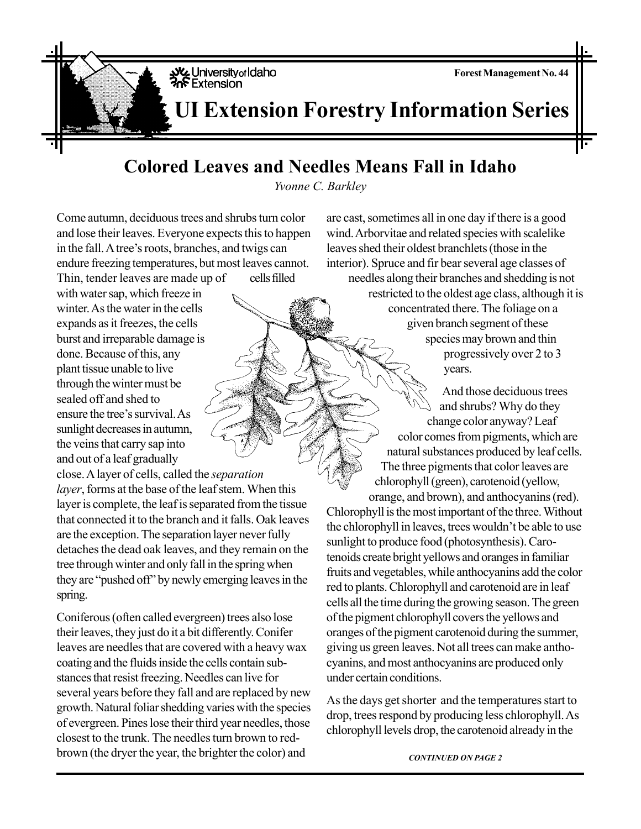**Forest Management No. 44**

## **Colored Leaves and Needles Means Fall in Idaho**

*Yvonne C. Barkley*

Come autumn, deciduous trees and shrubs turn color and lose their leaves. Everyone expects this to happen in the fall. A tree's roots, branches, and twigs can endure freezing temperatures, but most leaves cannot.

Thin, tender leaves are made up of cells filled with water sap, which freeze in winter. As the water in the cells expands as it freezes, the cells burst and irreparable damage is done. Because of this, any plant tissue unable to live through the winter must be sealed off and shed to ensure the tree's survival. As sunlight decreases in autumn, the veins that carry sap into and out of a leaf gradually

close. A layer of cells, called the *separation layer*, forms at the base of the leaf stem. When this layer is complete, the leaf is separated from the tissue that connected it to the branch and it falls. Oak leaves are the exception. The separation layer never fully detaches the dead oak leaves, and they remain on the tree through winter and only fall in the spring when they are "pushed off" by newly emerging leaves in the spring.

Coniferous (often called evergreen) trees also lose their leaves, they just do it a bit differently. Conifer leaves are needles that are covered with a heavy wax coating and the fluids inside the cells contain substances that resist freezing. Needles can live for several years before they fall and are replaced by new growth. Natural foliar shedding varies with the species of evergreen. Pines lose their third year needles, those closest to the trunk. The needles turn brown to redbrown (the dryer the year, the brighter the color) and

are cast, sometimes all in one day if there is a good wind. Arborvitae and related species with scalelike leaves shed their oldest branchlets (those in the interior). Spruce and fir bear several age classes of needles along their branches and shedding is not restricted to the oldest age class, although it is concentrated there. The foliage on a given branch segment of these species may brown and thin progressively over 2 to 3 years.

> And those deciduous trees and shrubs? Why do they change color anyway? Leaf color comes from pigments, which are natural substances produced by leaf cells. The three pigments that color leaves are chlorophyll (green), carotenoid (yellow, orange, and brown), and anthocyanins (red).

Chlorophyll is the most important of the three. Without the chlorophyll in leaves, trees wouldn't be able to use sunlight to produce food (photosynthesis). Carotenoids create bright yellows and oranges in familiar fruits and vegetables, while anthocyanins add the color red to plants. Chlorophyll and carotenoid are in leaf cells all the time during the growing season. The green of the pigment chlorophyll covers the yellows and oranges of the pigment carotenoid during the summer, giving us green leaves. Not all trees can make anthocyanins, and most anthocyanins are produced only under certain conditions.

As the days get shorter and the temperatures start to drop, trees respond by producing less chlorophyll. As chlorophyll levels drop, the carotenoid already in the

*CONTINUED ON PAGE 2*